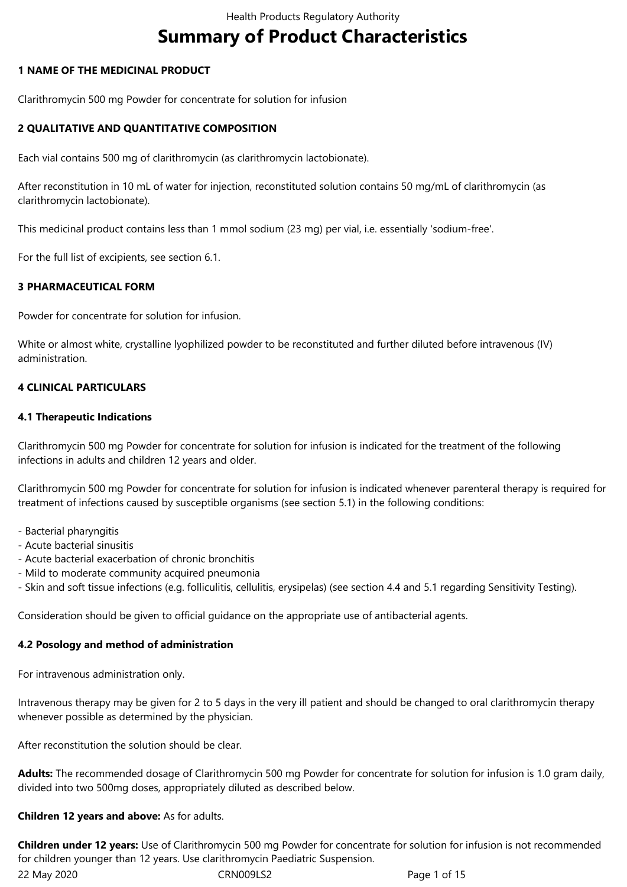# **Summary of Product Characteristics**

# **1 NAME OF THE MEDICINAL PRODUCT**

Clarithromycin 500 mg Powder for concentrate for solution for infusion

# **2 QUALITATIVE AND QUANTITATIVE COMPOSITION**

Each vial contains 500 mg of clarithromycin (as clarithromycin lactobionate).

After reconstitution in 10 mL of water for injection, reconstituted solution contains 50 mg/mL of clarithromycin (as clarithromycin lactobionate).

This medicinal product contains less than 1 mmol sodium (23 mg) per vial, i.e. essentially 'sodium-free'.

For the full list of excipients, see section 6.1.

# **3 PHARMACEUTICAL FORM**

Powder for concentrate for solution for infusion.

White or almost white, crystalline lyophilized powder to be reconstituted and further diluted before intravenous (IV) administration.

# **4 CLINICAL PARTICULARS**

# **4.1 Therapeutic Indications**

Clarithromycin 500 mg Powder for concentrate for solution for infusion is indicated for the treatment of the following infections in adults and children 12 years and older.

Clarithromycin 500 mg Powder for concentrate for solution for infusion is indicated whenever parenteral therapy is required for treatment of infections caused by susceptible organisms (see section 5.1) in the following conditions:

- Bacterial pharyngitis
- Acute bacterial sinusitis
- Acute bacterial exacerbation of chronic bronchitis
- Mild to moderate community acquired pneumonia

- Skin and soft tissue infections (e.g. folliculitis, cellulitis, erysipelas) (see section 4.4 and 5.1 regarding Sensitivity Testing).

Consideration should be given to official guidance on the appropriate use of antibacterial agents.

# **4.2 Posology and method of administration**

For intravenous administration only.

Intravenous therapy may be given for 2 to 5 days in the very ill patient and should be changed to oral clarithromycin therapy whenever possible as determined by the physician.

After reconstitution the solution should be clear.

**Adults:** The recommended dosage of Clarithromycin 500 mg Powder for concentrate for solution for infusion is 1.0 gram daily, divided into two 500mg doses, appropriately diluted as described below.

#### **Children 12 years and above:** As for adults.

**Children under 12 years:** Use of Clarithromycin 500 mg Powder for concentrate for solution for infusion is not recommended for children younger than 12 years. Use clarithromycin Paediatric Suspension.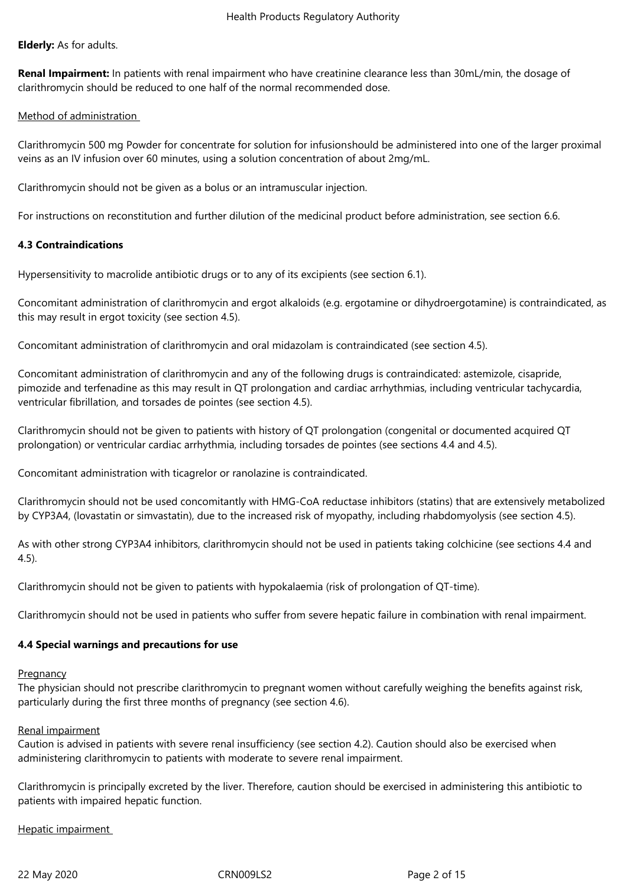#### **Elderly:** As for adults.

**Renal Impairment:** In patients with renal impairment who have creatinine clearance less than 30mL/min, the dosage of clarithromycin should be reduced to one half of the normal recommended dose.

#### Method of administration

Clarithromycin 500 mg Powder for concentrate for solution for infusionshould be administered into one of the larger proximal veins as an IV infusion over 60 minutes, using a solution concentration of about 2mg/mL.

Clarithromycin should not be given as a bolus or an intramuscular injection.

For instructions on reconstitution and further dilution of the medicinal product before administration, see section 6.6.

# **4.3 Contraindications**

Hypersensitivity to macrolide antibiotic drugs or to any of its excipients (see section 6.1).

Concomitant administration of clarithromycin and ergot alkaloids (e.g. ergotamine or dihydroergotamine) is contraindicated, as this may result in ergot toxicity (see section 4.5).

Concomitant administration of clarithromycin and oral midazolam is contraindicated (see section 4.5).

Concomitant administration of clarithromycin and any of the following drugs is contraindicated: astemizole, cisapride, pimozide and terfenadine as this may result in QT prolongation and cardiac arrhythmias, including ventricular tachycardia, ventricular fibrillation, and torsades de pointes (see section 4.5).

Clarithromycin should not be given to patients with history of QT prolongation (congenital or documented acquired QT prolongation) or ventricular cardiac arrhythmia, including torsades de pointes (see sections 4.4 and 4.5).

Concomitant administration with ticagrelor or ranolazine is contraindicated.

Clarithromycin should not be used concomitantly with HMG-CoA reductase inhibitors (statins) that are extensively metabolized by CYP3A4, (lovastatin or simvastatin), due to the increased risk of myopathy, including rhabdomyolysis (see section 4.5).

As with other strong CYP3A4 inhibitors, clarithromycin should not be used in patients taking colchicine (see sections 4.4 and 4.5).

Clarithromycin should not be given to patients with hypokalaemia (risk of prolongation of QT-time).

Clarithromycin should not be used in patients who suffer from severe hepatic failure in combination with renal impairment.

#### **4.4 Special warnings and precautions for use**

#### **Pregnancy**

The physician should not prescribe clarithromycin to pregnant women without carefully weighing the benefits against risk, particularly during the first three months of pregnancy (see section 4.6).

#### Renal impairment

Caution is advised in patients with severe renal insufficiency (see section 4.2). Caution should also be exercised when administering clarithromycin to patients with moderate to severe renal impairment.

Clarithromycin is principally excreted by the liver. Therefore, caution should be exercised in administering this antibiotic to patients with impaired hepatic function.

Hepatic impairment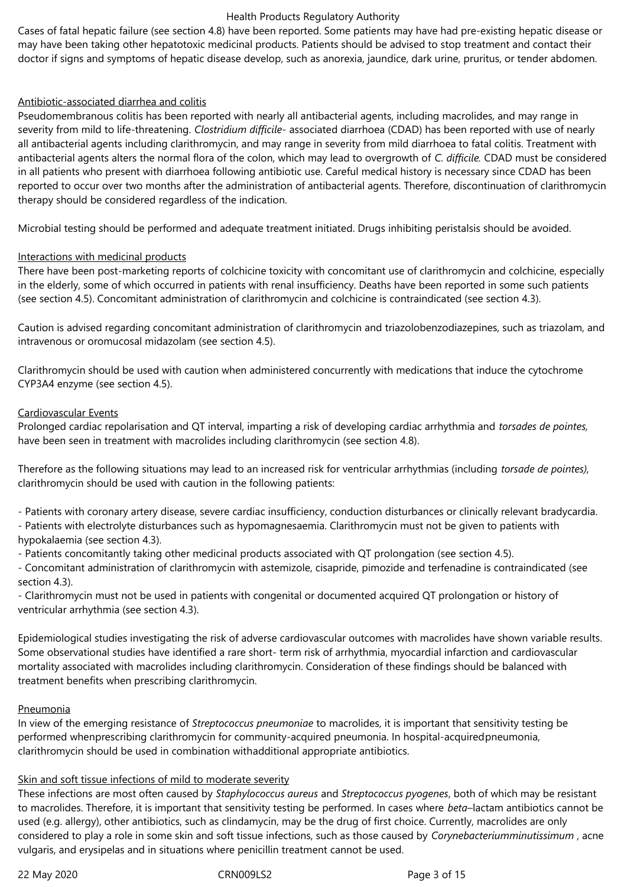Cases of fatal hepatic failure (see section 4.8) have been reported. Some patients may have had pre-existing hepatic disease or may have been taking other hepatotoxic medicinal products. Patients should be advised to stop treatment and contact their doctor if signs and symptoms of hepatic disease develop, such as anorexia, jaundice, dark urine, pruritus, or tender abdomen.

#### Antibiotic-associated diarrhea and colitis

Pseudomembranous colitis has been reported with nearly all antibacterial agents, including macrolides, and may range in severity from mild to life-threatening. *Clostridium difficile-* associated diarrhoea (CDAD) has been reported with use of nearly all antibacterial agents including clarithromycin, and may range in severity from mild diarrhoea to fatal colitis. Treatment with antibacterial agents alters the normal flora of the colon, which may lead to overgrowth of *C. difficile.* CDAD must be considered in all patients who present with diarrhoea following antibiotic use. Careful medical history is necessary since CDAD has been reported to occur over two months after the administration of antibacterial agents. Therefore, discontinuation of clarithromycin therapy should be considered regardless of the indication.

Microbial testing should be performed and adequate treatment initiated. Drugs inhibiting peristalsis should be avoided.

#### Interactions with medicinal products

There have been post-marketing reports of colchicine toxicity with concomitant use of clarithromycin and colchicine, especially in the elderly, some of which occurred in patients with renal insufficiency. Deaths have been reported in some such patients (see section 4.5). Concomitant administration of clarithromycin and colchicine is contraindicated (see section 4.3).

Caution is advised regarding concomitant administration of clarithromycin and triazolobenzodiazepines, such as triazolam, and intravenous or oromucosal midazolam (see section 4.5).

Clarithromycin should be used with caution when administered concurrently with medications that induce the cytochrome CYP3A4 enzyme (see section 4.5).

#### Cardiovascular Events

Prolonged cardiac repolarisation and QT interval, imparting a risk of developing cardiac arrhythmia and *torsades de pointes,*  have been seen in treatment with macrolides including clarithromycin (see section 4.8).

Therefore as the following situations may lead to an increased risk for ventricular arrhythmias (including *torsade de pointes),*  clarithromycin should be used with caution in the following patients:

- Patients with coronary artery disease, severe cardiac insufficiency, conduction disturbances or clinically relevant bradycardia.

- Patients with electrolyte disturbances such as hypomagnesaemia. Clarithromycin must not be given to patients with hypokalaemia (see section 4.3).

- Patients concomitantly taking other medicinal products associated with QT prolongation (see section 4.5).

- Concomitant administration of clarithromycin with astemizole, cisapride, pimozide and terfenadine is contraindicated (see section 4.3).

- Clarithromycin must not be used in patients with congenital or documented acquired QT prolongation or history of ventricular arrhythmia (see section 4.3).

Epidemiological studies investigating the risk of adverse cardiovascular outcomes with macrolides have shown variable results. Some observational studies have identified a rare short- term risk of arrhythmia, myocardial infarction and cardiovascular mortality associated with macrolides including clarithromycin. Consideration of these findings should be balanced with treatment benefits when prescribing clarithromycin.

#### **Pneumonia**

In view of the emerging resistance of *Streptococcus pneumoniae* to macrolides, it is important that sensitivity testing be performed whenprescribing clarithromycin for community-acquired pneumonia. In hospital-acquiredpneumonia, clarithromycin should be used in combination withadditional appropriate antibiotics.

# Skin and soft tissue infections of mild to moderate severity

These infections are most often caused by *Staphylococcus aureus* and *Streptococcus pyogenes*, both of which may be resistant to macrolides. Therefore, it is important that sensitivity testing be performed. In cases where *beta*–lactam antibiotics cannot be used (e.g. allergy), other antibiotics, such as clindamycin, may be the drug of first choice. Currently, macrolides are only considered to play a role in some skin and soft tissue infections, such as those caused by *Corynebacteriumminutissimum* , acne vulgaris, and erysipelas and in situations where penicillin treatment cannot be used.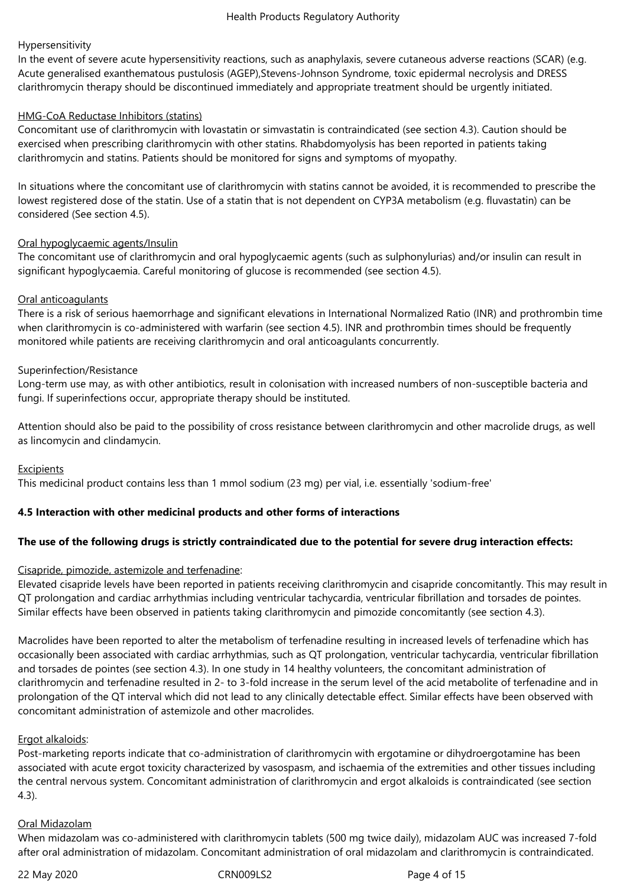#### Hypersensitivity

In the event of severe acute hypersensitivity reactions, such as anaphylaxis, severe cutaneous adverse reactions (SCAR) (e.g. Acute generalised exanthematous pustulosis (AGEP),Stevens-Johnson Syndrome, toxic epidermal necrolysis and DRESS clarithromycin therapy should be discontinued immediately and appropriate treatment should be urgently initiated.

#### HMG-CoA Reductase Inhibitors (statins)

Concomitant use of clarithromycin with lovastatin or simvastatin is contraindicated (see section 4.3). Caution should be exercised when prescribing clarithromycin with other statins. Rhabdomyolysis has been reported in patients taking clarithromycin and statins. Patients should be monitored for signs and symptoms of myopathy.

In situations where the concomitant use of clarithromycin with statins cannot be avoided, it is recommended to prescribe the lowest registered dose of the statin. Use of a statin that is not dependent on CYP3A metabolism (e.g. fluvastatin) can be considered (See section 4.5).

# Oral hypoglycaemic agents/Insulin

The concomitant use of clarithromycin and oral hypoglycaemic agents (such as sulphonylurias) and/or insulin can result in significant hypoglycaemia. Careful monitoring of glucose is recommended (see section 4.5).

# Oral anticoagulants

There is a risk of serious haemorrhage and significant elevations in International Normalized Ratio (INR) and prothrombin time when clarithromycin is co-administered with warfarin (see section 4.5). INR and prothrombin times should be frequently monitored while patients are receiving clarithromycin and oral anticoagulants concurrently.

# Superinfection/Resistance

Long-term use may, as with other antibiotics, result in colonisation with increased numbers of non-susceptible bacteria and fungi. If superinfections occur, appropriate therapy should be instituted.

Attention should also be paid to the possibility of cross resistance between clarithromycin and other macrolide drugs, as well as lincomycin and clindamycin.

#### Excipients

This medicinal product contains less than 1 mmol sodium (23 mg) per vial, i.e. essentially 'sodium-free'

# **4.5 Interaction with other medicinal products and other forms of interactions**

# **The use of the following drugs is strictly contraindicated due to the potential for severe drug interaction effects:**

# Cisapride, pimozide, astemizole and terfenadine:

Elevated cisapride levels have been reported in patients receiving clarithromycin and cisapride concomitantly. This may result in QT prolongation and cardiac arrhythmias including ventricular tachycardia, ventricular fibrillation and torsades de pointes. Similar effects have been observed in patients taking clarithromycin and pimozide concomitantly (see section 4.3).

Macrolides have been reported to alter the metabolism of terfenadine resulting in increased levels of terfenadine which has occasionally been associated with cardiac arrhythmias, such as QT prolongation, ventricular tachycardia, ventricular fibrillation and torsades de pointes (see section 4.3). In one study in 14 healthy volunteers, the concomitant administration of clarithromycin and terfenadine resulted in 2- to 3-fold increase in the serum level of the acid metabolite of terfenadine and in prolongation of the QT interval which did not lead to any clinically detectable effect. Similar effects have been observed with concomitant administration of astemizole and other macrolides.

#### Ergot alkaloids:

Post-marketing reports indicate that co-administration of clarithromycin with ergotamine or dihydroergotamine has been associated with acute ergot toxicity characterized by vasospasm, and ischaemia of the extremities and other tissues including the central nervous system. Concomitant administration of clarithromycin and ergot alkaloids is contraindicated (see section 4.3).

#### Oral Midazolam

When midazolam was co-administered with clarithromycin tablets (500 mg twice daily), midazolam AUC was increased 7-fold after oral administration of midazolam. Concomitant administration of oral midazolam and clarithromycin is contraindicated.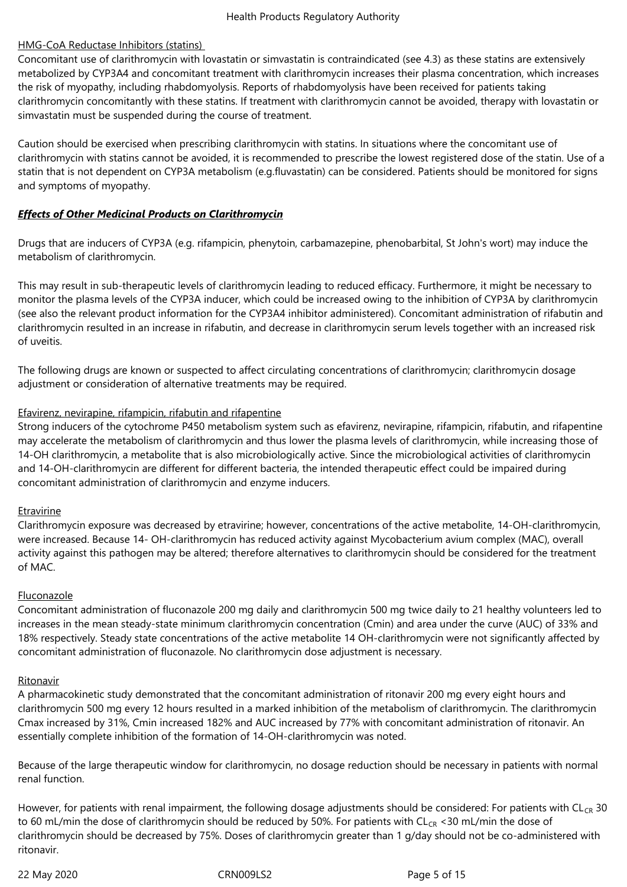# HMG-CoA Reductase Inhibitors (statins)

Concomitant use of clarithromycin with lovastatin or simvastatin is contraindicated (see 4.3) as these statins are extensively metabolized by CYP3A4 and concomitant treatment with clarithromycin increases their plasma concentration, which increases the risk of myopathy, including rhabdomyolysis. Reports of rhabdomyolysis have been received for patients taking clarithromycin concomitantly with these statins. If treatment with clarithromycin cannot be avoided, therapy with lovastatin or simvastatin must be suspended during the course of treatment.

Caution should be exercised when prescribing clarithromycin with statins. In situations where the concomitant use of clarithromycin with statins cannot be avoided, it is recommended to prescribe the lowest registered dose of the statin. Use of a statin that is not dependent on CYP3A metabolism (e.g.fluvastatin) can be considered. Patients should be monitored for signs and symptoms of myopathy.

# *Effects of Other Medicinal Products on Clarithromycin*

Drugs that are inducers of CYP3A (e.g. rifampicin, phenytoin, carbamazepine, phenobarbital, St John's wort) may induce the metabolism of clarithromycin.

This may result in sub-therapeutic levels of clarithromycin leading to reduced efficacy. Furthermore, it might be necessary to monitor the plasma levels of the CYP3A inducer, which could be increased owing to the inhibition of CYP3A by clarithromycin (see also the relevant product information for the CYP3A4 inhibitor administered). Concomitant administration of rifabutin and clarithromycin resulted in an increase in rifabutin, and decrease in clarithromycin serum levels together with an increased risk of uveitis.

The following drugs are known or suspected to affect circulating concentrations of clarithromycin; clarithromycin dosage adjustment or consideration of alternative treatments may be required.

# Efavirenz, nevirapine, rifampicin, rifabutin and rifapentine

Strong inducers of the cytochrome P450 metabolism system such as efavirenz, nevirapine, rifampicin, rifabutin, and rifapentine may accelerate the metabolism of clarithromycin and thus lower the plasma levels of clarithromycin, while increasing those of 14-OH clarithromycin, a metabolite that is also microbiologically active. Since the microbiological activities of clarithromycin and 14-OH-clarithromycin are different for different bacteria, the intended therapeutic effect could be impaired during concomitant administration of clarithromycin and enzyme inducers.

#### Etravirine

Clarithromycin exposure was decreased by etravirine; however, concentrations of the active metabolite, 14-OH-clarithromycin, were increased. Because 14- OH-clarithromycin has reduced activity against Mycobacterium avium complex (MAC), overall activity against this pathogen may be altered; therefore alternatives to clarithromycin should be considered for the treatment of MAC.

#### Fluconazole

Concomitant administration of fluconazole 200 mg daily and clarithromycin 500 mg twice daily to 21 healthy volunteers led to increases in the mean steady-state minimum clarithromycin concentration (Cmin) and area under the curve (AUC) of 33% and 18% respectively. Steady state concentrations of the active metabolite 14 OH-clarithromycin were not significantly affected by concomitant administration of fluconazole. No clarithromycin dose adjustment is necessary.

#### Ritonavir

A pharmacokinetic study demonstrated that the concomitant administration of ritonavir 200 mg every eight hours and clarithromycin 500 mg every 12 hours resulted in a marked inhibition of the metabolism of clarithromycin. The clarithromycin Cmax increased by 31%, Cmin increased 182% and AUC increased by 77% with concomitant administration of ritonavir. An essentially complete inhibition of the formation of 14-OH-clarithromycin was noted.

Because of the large therapeutic window for clarithromycin, no dosage reduction should be necessary in patients with normal renal function.

However, for patients with renal impairment, the following dosage adjustments should be considered: For patients with  $CL_{CR}$  30 to 60 mL/min the dose of clarithromycin should be reduced by 50%. For patients with  $CL_{CR}$  <30 mL/min the dose of clarithromycin should be decreased by 75%. Doses of clarithromycin greater than 1 g/day should not be co-administered with ritonavir.

22 May 2020 CRN009LS2 Page 5 of 15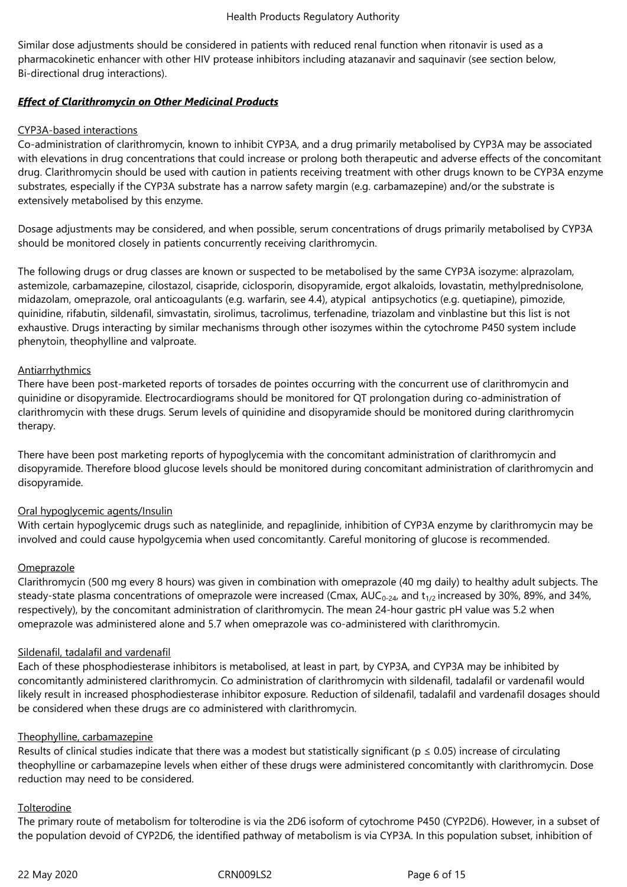Similar dose adjustments should be considered in patients with reduced renal function when ritonavir is used as a pharmacokinetic enhancer with other HIV protease inhibitors including atazanavir and saquinavir (see section below, Bi-directional drug interactions).

# *Effect of Clarithromycin on Other Medicinal Products*

#### CYP3A-based interactions

Co-administration of clarithromycin, known to inhibit CYP3A, and a drug primarily metabolised by CYP3A may be associated with elevations in drug concentrations that could increase or prolong both therapeutic and adverse effects of the concomitant drug. Clarithromycin should be used with caution in patients receiving treatment with other drugs known to be CYP3A enzyme substrates, especially if the CYP3A substrate has a narrow safety margin (e.g. carbamazepine) and/or the substrate is extensively metabolised by this enzyme.

Dosage adjustments may be considered, and when possible, serum concentrations of drugs primarily metabolised by CYP3A should be monitored closely in patients concurrently receiving clarithromycin.

The following drugs or drug classes are known or suspected to be metabolised by the same CYP3A isozyme: alprazolam, astemizole, carbamazepine, cilostazol, cisapride, ciclosporin, disopyramide, ergot alkaloids, lovastatin, methylprednisolone, midazolam, omeprazole, oral anticoagulants (e.g. warfarin, see 4.4), atypical antipsychotics (e.g. quetiapine), pimozide, quinidine, rifabutin, sildenafil, simvastatin, sirolimus, tacrolimus, terfenadine, triazolam and vinblastine but this list is not exhaustive. Drugs interacting by similar mechanisms through other isozymes within the cytochrome P450 system include phenytoin, theophylline and valproate.

# Antiarrhythmics

There have been post-marketed reports of torsades de pointes occurring with the concurrent use of clarithromycin and quinidine or disopyramide. Electrocardiograms should be monitored for QT prolongation during co-administration of clarithromycin with these drugs. Serum levels of quinidine and disopyramide should be monitored during clarithromycin therapy.

There have been post marketing reports of hypoglycemia with the concomitant administration of clarithromycin and disopyramide. Therefore blood glucose levels should be monitored during concomitant administration of clarithromycin and disopyramide.

#### Oral hypoglycemic agents/Insulin

With certain hypoglycemic drugs such as nateglinide, and repaglinide, inhibition of CYP3A enzyme by clarithromycin may be involved and could cause hypolgycemia when used concomitantly. Careful monitoring of glucose is recommended.

#### **Omeprazole**

Clarithromycin (500 mg every 8 hours) was given in combination with omeprazole (40 mg daily) to healthy adult subjects. The steady-state plasma concentrations of omeprazole were increased (Cmax,  $AUC_{0-24}$ , and  $t_{1/2}$  increased by 30%, 89%, and 34%, respectively), by the concomitant administration of clarithromycin. The mean 24-hour gastric pH value was 5.2 when omeprazole was administered alone and 5.7 when omeprazole was co-administered with clarithromycin.

#### Sildenafil, tadalafil and vardenafil

Each of these phosphodiesterase inhibitors is metabolised, at least in part, by CYP3A, and CYP3A may be inhibited by concomitantly administered clarithromycin. Co administration of clarithromycin with sildenafil, tadalafil or vardenafil would likely result in increased phosphodiesterase inhibitor exposure. Reduction of sildenafil, tadalafil and vardenafil dosages should be considered when these drugs are co administered with clarithromycin.

#### Theophylline, carbamazepine

Results of clinical studies indicate that there was a modest but statistically significant ( $p \le 0.05$ ) increase of circulating theophylline or carbamazepine levels when either of these drugs were administered concomitantly with clarithromycin. Dose reduction may need to be considered.

#### **Tolterodine**

The primary route of metabolism for tolterodine is via the 2D6 isoform of cytochrome P450 (CYP2D6). However, in a subset of the population devoid of CYP2D6, the identified pathway of metabolism is via CYP3A. In this population subset, inhibition of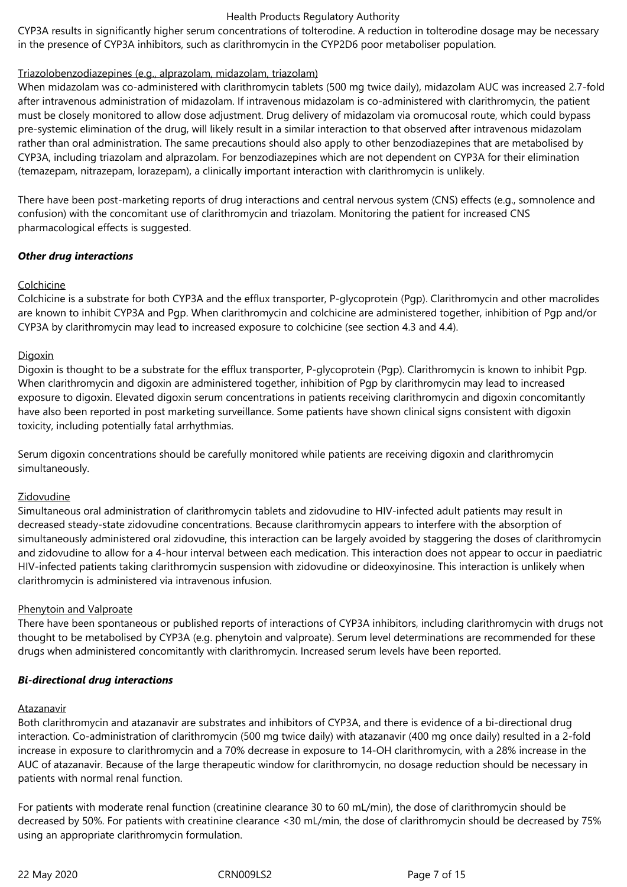CYP3A results in significantly higher serum concentrations of tolterodine. A reduction in tolterodine dosage may be necessary in the presence of CYP3A inhibitors, such as clarithromycin in the CYP2D6 poor metaboliser population.

# Triazolobenzodiazepines (e.g., alprazolam, midazolam, triazolam)

When midazolam was co-administered with clarithromycin tablets (500 mg twice daily), midazolam AUC was increased 2.7-fold after intravenous administration of midazolam. If intravenous midazolam is co-administered with clarithromycin, the patient must be closely monitored to allow dose adjustment. Drug delivery of midazolam via oromucosal route, which could bypass pre-systemic elimination of the drug, will likely result in a similar interaction to that observed after intravenous midazolam rather than oral administration. The same precautions should also apply to other benzodiazepines that are metabolised by CYP3A, including triazolam and alprazolam. For benzodiazepines which are not dependent on CYP3A for their elimination (temazepam, nitrazepam, lorazepam), a clinically important interaction with clarithromycin is unlikely.

There have been post-marketing reports of drug interactions and central nervous system (CNS) effects (e.g., somnolence and confusion) with the concomitant use of clarithromycin and triazolam. Monitoring the patient for increased CNS pharmacological effects is suggested.

# *Other drug interactions*

# Colchicine

Colchicine is a substrate for both CYP3A and the efflux transporter, P-glycoprotein (Pgp). Clarithromycin and other macrolides are known to inhibit CYP3A and Pgp. When clarithromycin and colchicine are administered together, inhibition of Pgp and/or CYP3A by clarithromycin may lead to increased exposure to colchicine (see section 4.3 and 4.4).

# **Digoxin**

Digoxin is thought to be a substrate for the efflux transporter, P-glycoprotein (Pgp). Clarithromycin is known to inhibit Pgp. When clarithromycin and digoxin are administered together, inhibition of Pgp by clarithromycin may lead to increased exposure to digoxin. Elevated digoxin serum concentrations in patients receiving clarithromycin and digoxin concomitantly have also been reported in post marketing surveillance. Some patients have shown clinical signs consistent with digoxin toxicity, including potentially fatal arrhythmias.

Serum digoxin concentrations should be carefully monitored while patients are receiving digoxin and clarithromycin simultaneously.

# Zidovudine

Simultaneous oral administration of clarithromycin tablets and zidovudine to HIV-infected adult patients may result in decreased steady-state zidovudine concentrations. Because clarithromycin appears to interfere with the absorption of simultaneously administered oral zidovudine, this interaction can be largely avoided by staggering the doses of clarithromycin and zidovudine to allow for a 4-hour interval between each medication. This interaction does not appear to occur in paediatric HIV-infected patients taking clarithromycin suspension with zidovudine or dideoxyinosine. This interaction is unlikely when clarithromycin is administered via intravenous infusion.

#### Phenytoin and Valproate

There have been spontaneous or published reports of interactions of CYP3A inhibitors, including clarithromycin with drugs not thought to be metabolised by CYP3A (e.g. phenytoin and valproate). Serum level determinations are recommended for these drugs when administered concomitantly with clarithromycin. Increased serum levels have been reported.

#### *Bi-directional drug interactions*

#### Atazanavir

Both clarithromycin and atazanavir are substrates and inhibitors of CYP3A, and there is evidence of a bi-directional drug interaction. Co-administration of clarithromycin (500 mg twice daily) with atazanavir (400 mg once daily) resulted in a 2-fold increase in exposure to clarithromycin and a 70% decrease in exposure to 14-OH clarithromycin, with a 28% increase in the AUC of atazanavir. Because of the large therapeutic window for clarithromycin, no dosage reduction should be necessary in patients with normal renal function.

For patients with moderate renal function (creatinine clearance 30 to 60 mL/min), the dose of clarithromycin should be decreased by 50%. For patients with creatinine clearance <30 mL/min, the dose of clarithromycin should be decreased by 75% using an appropriate clarithromycin formulation.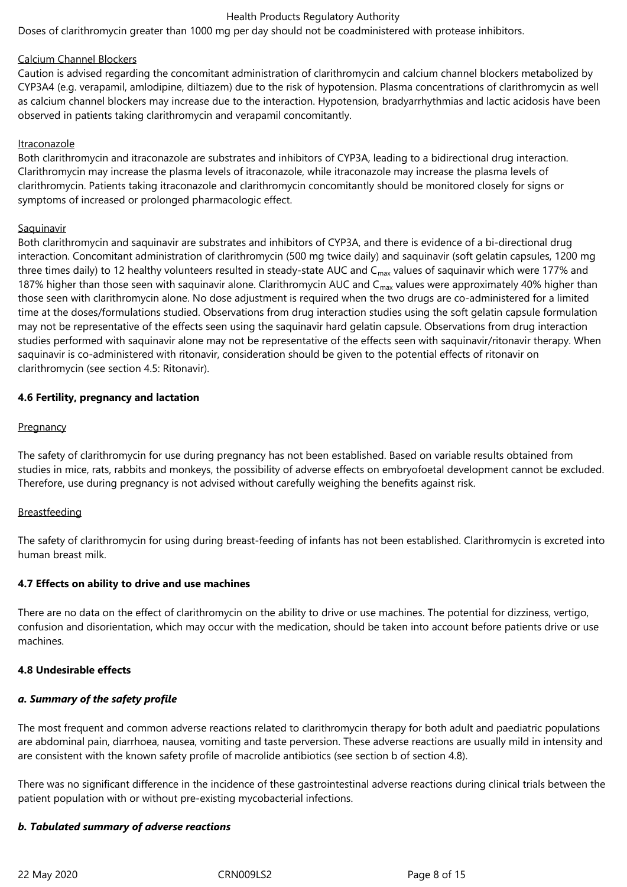Doses of clarithromycin greater than 1000 mg per day should not be coadministered with protease inhibitors.

#### Calcium Channel Blockers

Caution is advised regarding the concomitant administration of clarithromycin and calcium channel blockers metabolized by CYP3A4 (e.g. verapamil, amlodipine, diltiazem) due to the risk of hypotension. Plasma concentrations of clarithromycin as well as calcium channel blockers may increase due to the interaction. Hypotension, bradyarrhythmias and lactic acidosis have been observed in patients taking clarithromycin and verapamil concomitantly.

#### Itraconazole

Both clarithromycin and itraconazole are substrates and inhibitors of CYP3A, leading to a bidirectional drug interaction. Clarithromycin may increase the plasma levels of itraconazole, while itraconazole may increase the plasma levels of clarithromycin. Patients taking itraconazole and clarithromycin concomitantly should be monitored closely for signs or symptoms of increased or prolonged pharmacologic effect.

# **Saquinavir**

Both clarithromycin and saquinavir are substrates and inhibitors of CYP3A, and there is evidence of a bi-directional drug interaction. Concomitant administration of clarithromycin (500 mg twice daily) and saquinavir (soft gelatin capsules, 1200 mg three times daily) to 12 healthy volunteers resulted in steady-state AUC and  $C_{\text{max}}$  values of saquinavir which were 177% and 187% higher than those seen with saquinavir alone. Clarithromycin AUC and  $C_{\text{max}}$  values were approximately 40% higher than those seen with clarithromycin alone. No dose adjustment is required when the two drugs are co-administered for a limited time at the doses/formulations studied. Observations from drug interaction studies using the soft gelatin capsule formulation may not be representative of the effects seen using the saquinavir hard gelatin capsule. Observations from drug interaction studies performed with saquinavir alone may not be representative of the effects seen with saquinavir/ritonavir therapy. When saquinavir is co-administered with ritonavir, consideration should be given to the potential effects of ritonavir on clarithromycin (see section 4.5: Ritonavir).

# **4.6 Fertility, pregnancy and lactation**

# **Pregnancy**

The safety of clarithromycin for use during pregnancy has not been established. Based on variable results obtained from studies in mice, rats, rabbits and monkeys, the possibility of adverse effects on embryofoetal development cannot be excluded. Therefore, use during pregnancy is not advised without carefully weighing the benefits against risk.

# **Breastfeeding**

The safety of clarithromycin for using during breast-feeding of infants has not been established. Clarithromycin is excreted into human breast milk.

#### **4.7 Effects on ability to drive and use machines**

There are no data on the effect of clarithromycin on the ability to drive or use machines. The potential for dizziness, vertigo, confusion and disorientation, which may occur with the medication, should be taken into account before patients drive or use machines.

#### **4.8 Undesirable effects**

# *a. Summary of the safety profile*

The most frequent and common adverse reactions related to clarithromycin therapy for both adult and paediatric populations are abdominal pain, diarrhoea, nausea, vomiting and taste perversion. These adverse reactions are usually mild in intensity and are consistent with the known safety profile of macrolide antibiotics (see section b of section 4.8).

There was no significant difference in the incidence of these gastrointestinal adverse reactions during clinical trials between the patient population with or without pre-existing mycobacterial infections.

#### *b. Tabulated summary of adverse reactions*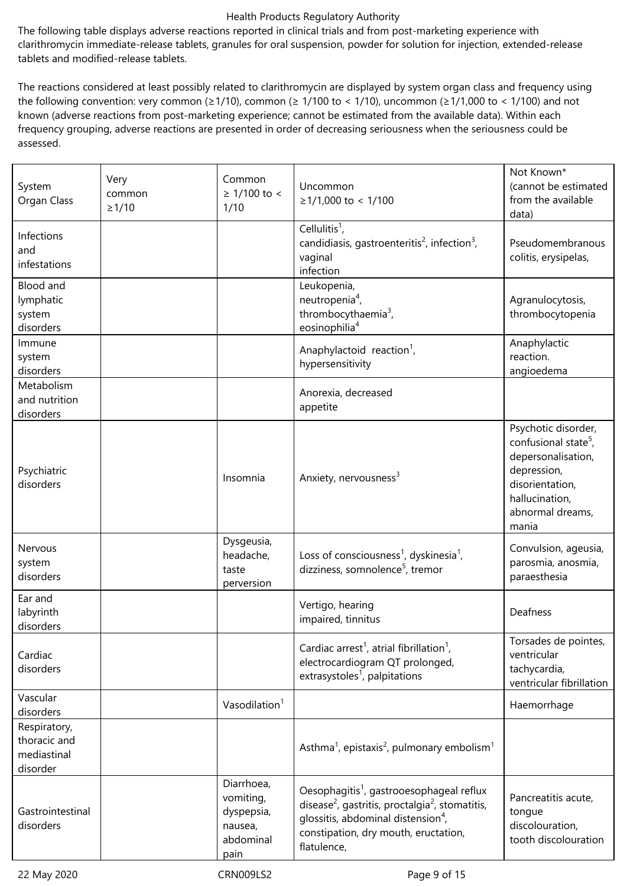The following table displays adverse reactions reported in clinical trials and from post-marketing experience with clarithromycin immediate-release tablets, granules for oral suspension, powder for solution for injection, extended-release tablets and modified-release tablets.

The reactions considered at least possibly related to clarithromycin are displayed by system organ class and frequency using the following convention: very common ( $\geq 1/10$ ), common ( $\geq 1/100$  to < 1/10), uncommon ( $\geq 1/1,000$  to < 1/100) and not known (adverse reactions from post-marketing experience; cannot be estimated from the available data). Within each frequency grouping, adverse reactions are presented in order of decreasing seriousness when the seriousness could be assessed.

| System<br>Organ Class                                   | Very<br>common<br>$\geq$ 1/10 | Common<br>$≥ 1/100$ to <<br>1/10                                      | Uncommon<br>$≥1/1,000$ to < 1/100                                                                                                                                                                                                        | Not Known*<br>(cannot be estimated<br>from the available<br>data)                                                                                              |
|---------------------------------------------------------|-------------------------------|-----------------------------------------------------------------------|------------------------------------------------------------------------------------------------------------------------------------------------------------------------------------------------------------------------------------------|----------------------------------------------------------------------------------------------------------------------------------------------------------------|
| Infections<br>and<br>infestations                       |                               |                                                                       | Cellulitis <sup>1</sup> ,<br>candidiasis, gastroenteritis <sup>2</sup> , infection <sup>3</sup> ,<br>vaginal<br>infection                                                                                                                | Pseudomembranous<br>colitis, erysipelas,                                                                                                                       |
| Blood and<br>lymphatic<br>system<br>disorders           |                               |                                                                       | Leukopenia,<br>neutropenia <sup>4</sup> ,<br>thrombocythaemia <sup>3</sup> ,<br>eosinophilia <sup>4</sup>                                                                                                                                | Agranulocytosis,<br>thrombocytopenia                                                                                                                           |
| Immune<br>system<br>disorders                           |                               |                                                                       | Anaphylactoid reaction <sup>1</sup> ,<br>hypersensitivity                                                                                                                                                                                | Anaphylactic<br>reaction.<br>angioedema                                                                                                                        |
| Metabolism<br>and nutrition<br>disorders                |                               |                                                                       | Anorexia, decreased<br>appetite                                                                                                                                                                                                          |                                                                                                                                                                |
| Psychiatric<br>disorders                                |                               | Insomnia                                                              | Anxiety, nervousness <sup>3</sup>                                                                                                                                                                                                        | Psychotic disorder,<br>confusional state <sup>5</sup> ,<br>depersonalisation,<br>depression,<br>disorientation,<br>hallucination,<br>abnormal dreams,<br>mania |
| Nervous<br>system<br>disorders                          |                               | Dysgeusia,<br>headache,<br>taste<br>perversion                        | Loss of consciousness <sup>1</sup> , dyskinesia <sup>1</sup> ,<br>dizziness, somnolence <sup>5</sup> , tremor                                                                                                                            | Convulsion, ageusia,<br>parosmia, anosmia,<br>paraesthesia                                                                                                     |
| Ear and<br>labyrinth<br>disorders                       |                               |                                                                       | Vertigo, hearing<br>impaired, tinnitus                                                                                                                                                                                                   | Deafness                                                                                                                                                       |
| Cardiac<br>disorders                                    |                               |                                                                       | Cardiac arrest <sup>1</sup> , atrial fibrillation <sup>1</sup> ,<br>electrocardiogram QT prolonged,<br>extrasystoles <sup>1</sup> , palpitations                                                                                         | Torsades de pointes,<br>ventricular<br>tachycardia,<br>ventricular fibrillation                                                                                |
| Vascular<br>disorders                                   |                               | Vasodilation <sup>1</sup>                                             |                                                                                                                                                                                                                                          | Haemorrhage                                                                                                                                                    |
| Respiratory,<br>thoracic and<br>mediastinal<br>disorder |                               |                                                                       | Asthma <sup>1</sup> , epistaxis <sup>2</sup> , pulmonary embolism <sup>1</sup>                                                                                                                                                           |                                                                                                                                                                |
| Gastrointestinal<br>disorders                           |                               | Diarrhoea,<br>vomiting,<br>dyspepsia,<br>nausea,<br>abdominal<br>pain | Oesophagitis <sup>1</sup> , gastrooesophageal reflux<br>disease <sup>2</sup> , gastritis, proctalgia <sup>2</sup> , stomatitis,<br>glossitis, abdominal distension <sup>4</sup> ,<br>constipation, dry mouth, eructation,<br>flatulence, | Pancreatitis acute,<br>tongue<br>discolouration,<br>tooth discolouration                                                                                       |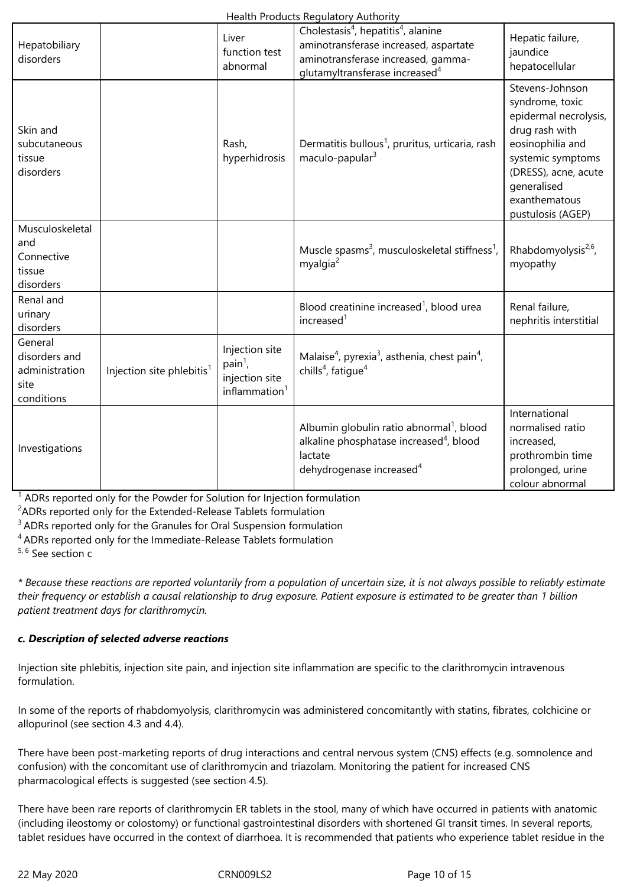|                                                                  |                                       |                                                                            | $9 - 0 - 0 - 1$                                                                                                                                                                          |                                                                                                                                                                                                     |
|------------------------------------------------------------------|---------------------------------------|----------------------------------------------------------------------------|------------------------------------------------------------------------------------------------------------------------------------------------------------------------------------------|-----------------------------------------------------------------------------------------------------------------------------------------------------------------------------------------------------|
| Hepatobiliary<br>disorders                                       |                                       | Liver<br>function test<br>abnormal                                         | Cholestasis <sup>4</sup> , hepatitis <sup>4</sup> , alanine<br>aminotransferase increased, aspartate<br>aminotransferase increased, gamma-<br>glutamyltransferase increased <sup>4</sup> | Hepatic failure,<br>jaundice<br>hepatocellular                                                                                                                                                      |
| Skin and<br>subcutaneous<br>tissue<br>disorders                  |                                       | Rash,<br>hyperhidrosis                                                     | Dermatitis bullous <sup>1</sup> , pruritus, urticaria, rash<br>maculo-papular <sup>3</sup>                                                                                               | Stevens-Johnson<br>syndrome, toxic<br>epidermal necrolysis,<br>drug rash with<br>eosinophilia and<br>systemic symptoms<br>(DRESS), acne, acute<br>generalised<br>exanthematous<br>pustulosis (AGEP) |
| Musculoskeletal<br>and<br>Connective<br>tissue<br>disorders      |                                       |                                                                            | Muscle spasms <sup>3</sup> , musculoskeletal stiffness <sup>1</sup> ,<br>myalgia <sup>2</sup>                                                                                            | Rhabdomyolysis <sup>2,6</sup> ,<br>myopathy                                                                                                                                                         |
| Renal and<br>urinary<br>disorders                                |                                       |                                                                            | Blood creatinine increased <sup>1</sup> , blood urea<br>increased <sup>1</sup>                                                                                                           | Renal failure,<br>nephritis interstitial                                                                                                                                                            |
| General<br>disorders and<br>administration<br>site<br>conditions | Injection site phlebitis <sup>1</sup> | Injection site<br>$pain1$ ,<br>injection site<br>inflammation <sup>1</sup> | Malaise <sup>4</sup> , pyrexia <sup>3</sup> , asthenia, chest pain <sup>4</sup> ,<br>chills <sup>4</sup> , fatigue <sup>4</sup>                                                          |                                                                                                                                                                                                     |
| Investigations                                                   |                                       |                                                                            | Albumin globulin ratio abnormal <sup>1</sup> , blood<br>alkaline phosphatase increased <sup>4</sup> , blood<br>lactate<br>dehydrogenase increased <sup>4</sup>                           | International<br>normalised ratio<br>increased,<br>prothrombin time<br>prolonged, urine<br>colour abnormal                                                                                          |

<sup>1</sup> ADRs reported only for the Powder for Solution for Injection formulation

<sup>2</sup>ADRs reported only for the Extended-Release Tablets formulation

<sup>3</sup> ADRs reported only for the Granules for Oral Suspension formulation

<sup>4</sup>ADRs reported only for the Immediate-Release Tablets formulation

 $5, 6$  See section c

*\* Because these reactions are reported voluntarily from a population of uncertain size, it is not always possible to reliably estimate their frequency or establish a causal relationship to drug exposure. Patient exposure is estimated to be greater than 1 billion patient treatment days for clarithromycin.*

# *c. Description of selected adverse reactions*

Injection site phlebitis, injection site pain, and injection site inflammation are specific to the clarithromycin intravenous formulation.

In some of the reports of rhabdomyolysis, clarithromycin was administered concomitantly with statins, fibrates, colchicine or allopurinol (see section 4.3 and 4.4).

There have been post-marketing reports of drug interactions and central nervous system (CNS) effects (e.g. somnolence and confusion) with the concomitant use of clarithromycin and triazolam. Monitoring the patient for increased CNS pharmacological effects is suggested (see section 4.5).

There have been rare reports of clarithromycin ER tablets in the stool, many of which have occurred in patients with anatomic (including ileostomy or colostomy) or functional gastrointestinal disorders with shortened GI transit times. In several reports, tablet residues have occurred in the context of diarrhoea. It is recommended that patients who experience tablet residue in the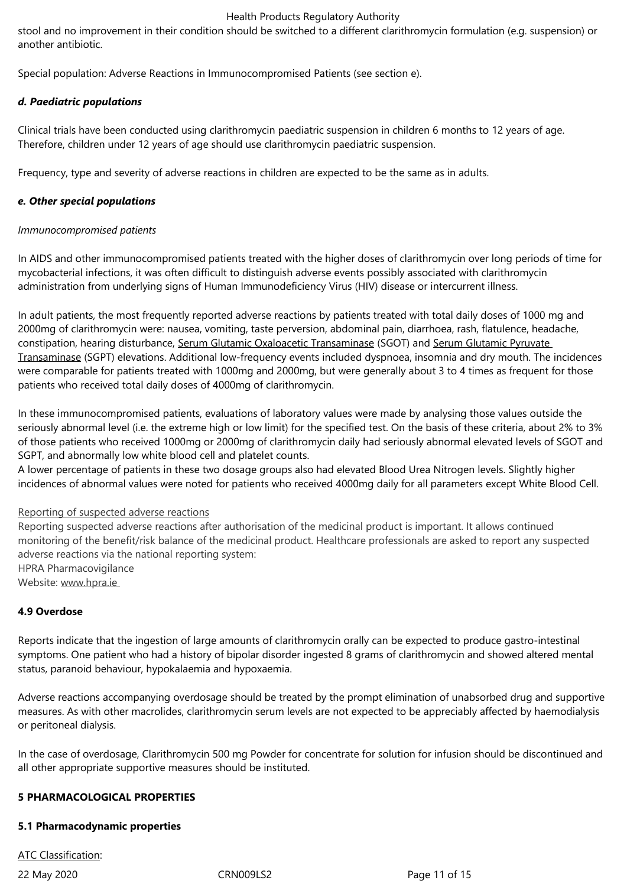stool and no improvement in their condition should be switched to a different clarithromycin formulation (e.g. suspension) or another antibiotic.

Special population: Adverse Reactions in Immunocompromised Patients (see section e).

# *d. Paediatric populations*

Clinical trials have been conducted using clarithromycin paediatric suspension in children 6 months to 12 years of age. Therefore, children under 12 years of age should use clarithromycin paediatric suspension.

Frequency, type and severity of adverse reactions in children are expected to be the same as in adults.

# *e. Other special populations*

# *Immunocompromised patients*

In AIDS and other immunocompromised patients treated with the higher doses of clarithromycin over long periods of time for mycobacterial infections, it was often difficult to distinguish adverse events possibly associated with clarithromycin administration from underlying signs of Human Immunodeficiency Virus (HIV) disease or intercurrent illness.

In adult patients, the most frequently reported adverse reactions by patients treated with total daily doses of 1000 mg and 2000mg of clarithromycin were: nausea, vomiting, taste perversion, abdominal pain, diarrhoea, rash, flatulence, headache, constipation, hearing disturbance, Serum Glutamic Oxaloacetic Transaminase (SGOT) and Serum Glutamic Pyruvate Transaminase (SGPT) elevations. Additional low-frequency events included dyspnoea, insomnia and dry mouth. The incidences were comparable for patients treated with 1000mg and 2000mg, but were generally about 3 to 4 times as frequent for those patients who received total daily doses of 4000mg of clarithromycin.

In these immunocompromised patients, evaluations of laboratory values were made by analysing those values outside the seriously abnormal level (i.e. the extreme high or low limit) for the specified test. On the basis of these criteria, about 2% to 3% of those patients who received 1000mg or 2000mg of clarithromycin daily had seriously abnormal elevated levels of SGOT and SGPT, and abnormally low white blood cell and platelet counts.

A lower percentage of patients in these two dosage groups also had elevated Blood Urea Nitrogen levels. Slightly higher incidences of abnormal values were noted for patients who received 4000mg daily for all parameters except White Blood Cell.

#### Reporting of suspected adverse reactions

Reporting suspected adverse reactions after authorisation of the medicinal product is important. It allows continued monitoring of the benefit/risk balance of the medicinal product. Healthcare professionals are asked to report any suspected adverse reactions via the national reporting system: HPRA Pharmacovigilance Website: www.hpra.ie

# **4.9 Overdose**

Reports indicate that the ingestion of large amounts of clarithromycin orally can be expected to produce gastro-intestinal symptoms. One patient who had a history of bipolar disorder ingested 8 grams of clarithromycin and showed altered mental status, paranoid behaviour, hypokalaemia and hypoxaemia.

Adverse reactions accompanying overdosage should be treated by the prompt elimination of unabsorbed drug and supportive measures. As with other macrolides, clarithromycin serum levels are not expected to be appreciably affected by haemodialysis or peritoneal dialysis.

In the case of overdosage, Clarithromycin 500 mg Powder for concentrate for solution for infusion should be discontinued and all other appropriate supportive measures should be instituted.

#### **5 PHARMACOLOGICAL PROPERTIES**

#### **5.1 Pharmacodynamic properties**

ATC Classification: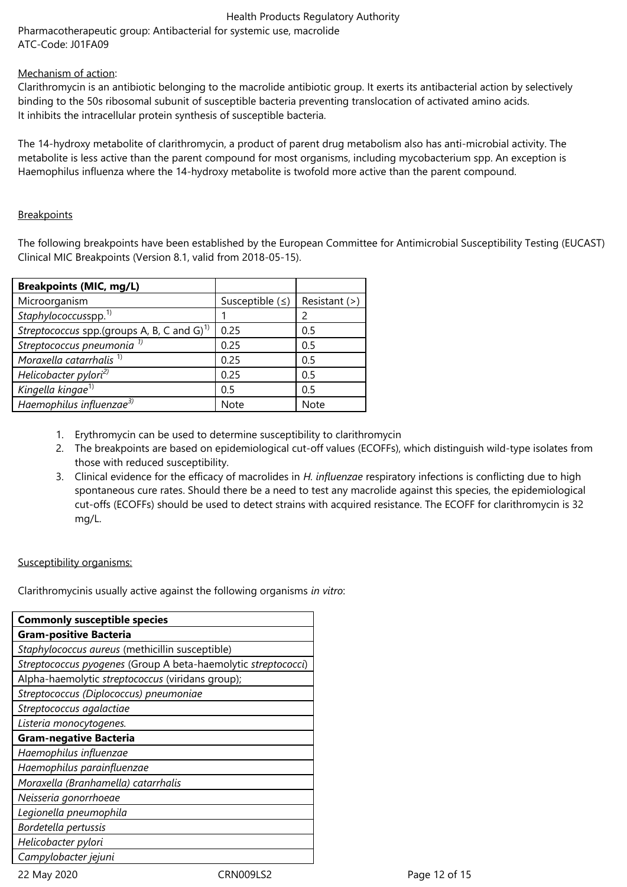Pharmacotherapeutic group: Antibacterial for systemic use, macrolide ATC-Code: J01FA09

# Mechanism of action:

Clarithromycin is an antibiotic belonging to the macrolide antibiotic group. It exerts its antibacterial action by selectively binding to the 50s ribosomal subunit of susceptible bacteria preventing translocation of activated amino acids. It inhibits the intracellular protein synthesis of susceptible bacteria.

The 14-hydroxy metabolite of clarithromycin, a product of parent drug metabolism also has anti-microbial activity. The metabolite is less active than the parent compound for most organisms, including mycobacterium spp. An exception is Haemophilus influenza where the 14-hydroxy metabolite is twofold more active than the parent compound.

# **Breakpoints**

The following breakpoints have been established by the European Committee for Antimicrobial Susceptibility Testing (EUCAST) Clinical MIC Breakpoints (Version 8.1, valid from 2018-05-15).

| <b>Breakpoints (MIC, mg/L)</b>                         |                 |                 |
|--------------------------------------------------------|-----------------|-----------------|
| Microorganism                                          | Susceptible $($ | Resistant $(>)$ |
| Staphylococcusspp. <sup>1)</sup>                       |                 |                 |
| Streptococcus spp.(groups A, B, C and G) <sup>1)</sup> | 0.25            | 0.5             |
| Streptococcus pneumonia <sup>1)</sup>                  | 0.25            | 0.5             |
| Moraxella catarrhalis <sup>1)</sup>                    | 0.25            | 0.5             |
| Helicobacter pylori <sup>2)</sup>                      | 0.25            | 0.5             |
| Kingella kingae <sup>1)</sup>                          | 0.5             | 0.5             |
| Haemophilus influenzae <sup>3)</sup>                   | <b>Note</b>     | <b>Note</b>     |

- 1. Erythromycin can be used to determine susceptibility to clarithromycin
- 2. The breakpoints are based on epidemiological cut-off values (ECOFFs), which distinguish wild-type isolates from those with reduced susceptibility.
- 3. Clinical evidence for the efficacy of macrolides in *H. influenzae* respiratory infections is conflicting due to high spontaneous cure rates. Should there be a need to test any macrolide against this species, the epidemiological cut-offs (ECOFFs) should be used to detect strains with acquired resistance. The ECOFF for clarithromycin is 32 mg/L.

#### Susceptibility organisms:

Clarithromycinis usually active against the following organisms *in vitro*:

22 May 2020 CRN009LS2 Page 12 of 15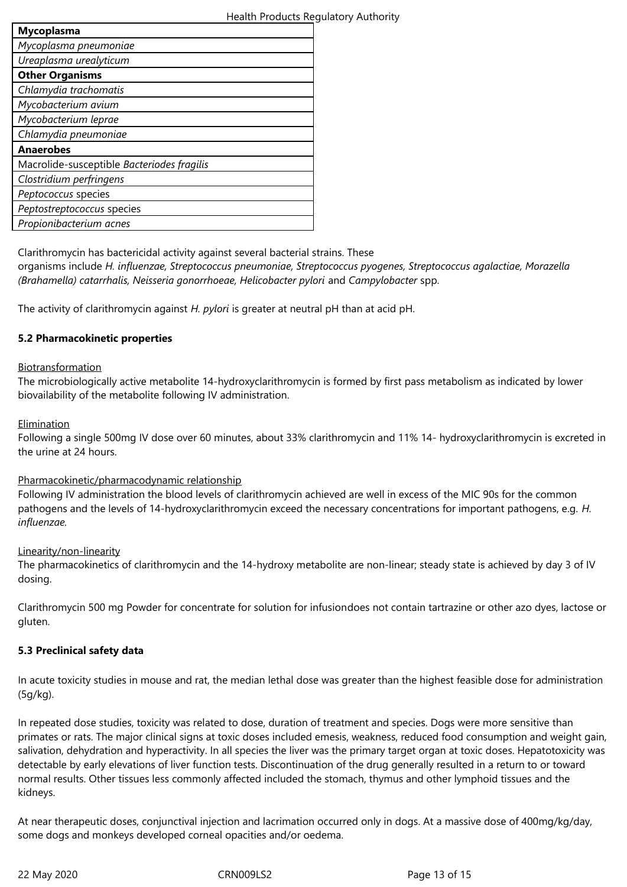| <b>Mycoplasma</b>                          |  |  |
|--------------------------------------------|--|--|
| Mycoplasma pneumoniae                      |  |  |
| Ureaplasma urealyticum                     |  |  |
| <b>Other Organisms</b>                     |  |  |
| Chlamydia trachomatis                      |  |  |
| Mycobacterium avium                        |  |  |
| Mycobacterium leprae                       |  |  |
| Chlamydia pneumoniae                       |  |  |
| <b>Anaerobes</b>                           |  |  |
| Macrolide-susceptible Bacteriodes fragilis |  |  |
| Clostridium perfringens                    |  |  |
| Peptococcus species                        |  |  |
| Peptostreptococcus species                 |  |  |
| Propionibacterium acnes                    |  |  |
|                                            |  |  |

Clarithromycin has bactericidal activity against several bacterial strains. These

organisms include *H. influenzae, Streptococcus pneumoniae, Streptococcus pyogenes, Streptococcus agalactiae, Morazella (Brahamella) catarrhalis, Neisseria gonorrhoeae, Helicobacter pylori* and *Campylobacter* spp.

The activity of clarithromycin against *H. pylori* is greater at neutral pH than at acid pH.

# **5.2 Pharmacokinetic properties**

# Biotransformation

The microbiologically active metabolite 14-hydroxyclarithromycin is formed by first pass metabolism as indicated by lower biovailability of the metabolite following IV administration.

# **Elimination**

Following a single 500mg IV dose over 60 minutes, about 33% clarithromycin and 11% 14- hydroxyclarithromycin is excreted in the urine at 24 hours.

#### Pharmacokinetic/pharmacodynamic relationship

Following IV administration the blood levels of clarithromycin achieved are well in excess of the MIC 90s for the common pathogens and the levels of 14-hydroxyclarithromycin exceed the necessary concentrations for important pathogens, e.g. *H. influenzae.*

#### Linearity/non-linearity

The pharmacokinetics of clarithromycin and the 14-hydroxy metabolite are non-linear; steady state is achieved by day 3 of IV dosing.

Clarithromycin 500 mg Powder for concentrate for solution for infusiondoes not contain tartrazine or other azo dyes, lactose or gluten.

# **5.3 Preclinical safety data**

In acute toxicity studies in mouse and rat, the median lethal dose was greater than the highest feasible dose for administration (5g/kg).

In repeated dose studies, toxicity was related to dose, duration of treatment and species. Dogs were more sensitive than primates or rats. The major clinical signs at toxic doses included emesis, weakness, reduced food consumption and weight gain, salivation, dehydration and hyperactivity. In all species the liver was the primary target organ at toxic doses. Hepatotoxicity was detectable by early elevations of liver function tests. Discontinuation of the drug generally resulted in a return to or toward normal results. Other tissues less commonly affected included the stomach, thymus and other lymphoid tissues and the kidneys.

At near therapeutic doses, conjunctival injection and lacrimation occurred only in dogs. At a massive dose of 400mg/kg/day, some dogs and monkeys developed corneal opacities and/or oedema.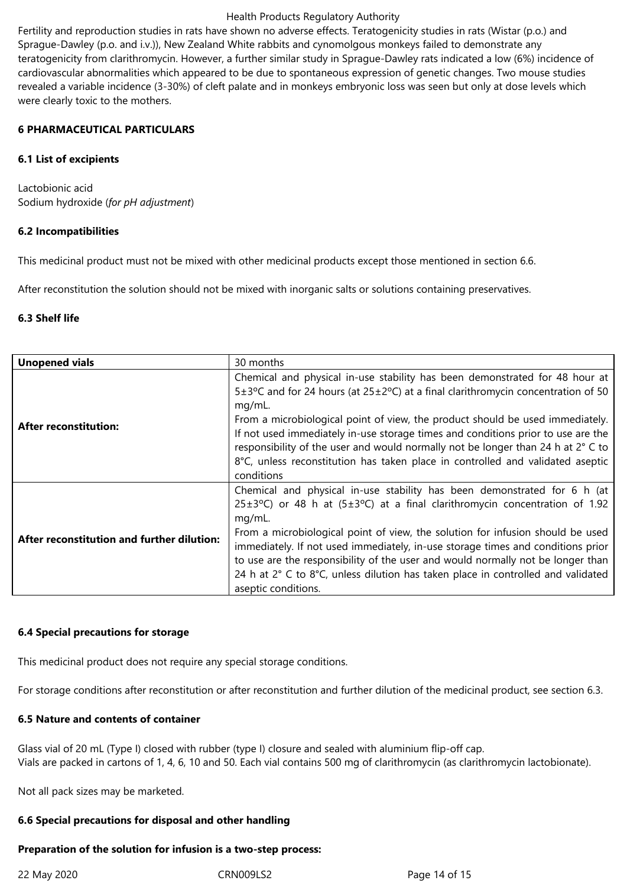Fertility and reproduction studies in rats have shown no adverse effects. Teratogenicity studies in rats (Wistar (p.o.) and Sprague-Dawley (p.o. and i.v.)), New Zealand White rabbits and cynomolgous monkeys failed to demonstrate any teratogenicity from clarithromycin. However, a further similar study in Sprague-Dawley rats indicated a low (6%) incidence of cardiovascular abnormalities which appeared to be due to spontaneous expression of genetic changes. Two mouse studies revealed a variable incidence (3-30%) of cleft palate and in monkeys embryonic loss was seen but only at dose levels which were clearly toxic to the mothers.

#### **6 PHARMACEUTICAL PARTICULARS**

#### **6.1 List of excipients**

Lactobionic acid Sodium hydroxide (*for pH adjustment*)

# **6.2 Incompatibilities**

This medicinal product must not be mixed with other medicinal products except those mentioned in section 6.6.

After reconstitution the solution should not be mixed with inorganic salts or solutions containing preservatives.

# **6.3 Shelf life**

| <b>Unopened vials</b>                      | 30 months                                                                                                                                                                                                                                                                                                                                                                                                                                                                                                                                                 |
|--------------------------------------------|-----------------------------------------------------------------------------------------------------------------------------------------------------------------------------------------------------------------------------------------------------------------------------------------------------------------------------------------------------------------------------------------------------------------------------------------------------------------------------------------------------------------------------------------------------------|
| <b>After reconstitution:</b>               | Chemical and physical in-use stability has been demonstrated for 48 hour at<br>$5\pm3\degree$ C and for 24 hours (at $25\pm2\degree$ C) at a final clarithromycin concentration of 50<br>mg/mL.<br>From a microbiological point of view, the product should be used immediately.<br>If not used immediately in-use storage times and conditions prior to use are the<br>responsibility of the user and would normally not be longer than 24 h at 2° C to<br>8°C, unless reconstitution has taken place in controlled and validated aseptic<br>conditions  |
| After reconstitution and further dilution: | Chemical and physical in-use stability has been demonstrated for 6 h (at<br>$25\pm3\degree$ C) or 48 h at $(5\pm3\degree$ C) at a final clarithromycin concentration of 1.92<br>mg/mL.<br>From a microbiological point of view, the solution for infusion should be used<br>immediately. If not used immediately, in-use storage times and conditions prior<br>to use are the responsibility of the user and would normally not be longer than<br>24 h at 2° C to 8°C, unless dilution has taken place in controlled and validated<br>aseptic conditions. |

# **6.4 Special precautions for storage**

This medicinal product does not require any special storage conditions.

For storage conditions after reconstitution or after reconstitution and further dilution of the medicinal product, see section 6.3.

# **6.5 Nature and contents of container**

Glass vial of 20 mL (Type I) closed with rubber (type I) closure and sealed with aluminium flip-off cap. Vials are packed in cartons of 1, 4, 6, 10 and 50. Each vial contains 500 mg of clarithromycin (as clarithromycin lactobionate).

Not all pack sizes may be marketed.

#### **6.6 Special precautions for disposal and other handling**

# **Preparation of the solution for infusion is a two-step process:**